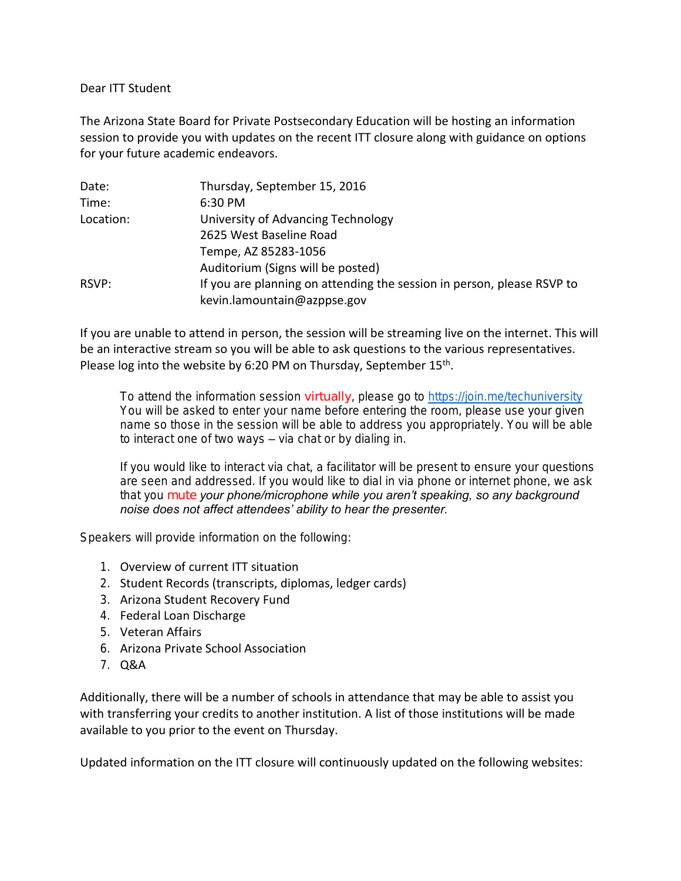Dear ITT Student

The Arizona State Board for Private Postsecondary Education will be hosting an information session to provide you with updates on the recent ITT closure along with guidance on options for your future academic endeavors.

| Date:     | Thursday, September 15, 2016                                           |
|-----------|------------------------------------------------------------------------|
| Time:     | 6:30 PM                                                                |
| Location: | University of Advancing Technology                                     |
|           | 2625 West Baseline Road                                                |
|           | Tempe, AZ 85283-1056                                                   |
|           | Auditorium (Signs will be posted)                                      |
| RSVP:     | If you are planning on attending the session in person, please RSVP to |
|           | kevin.lamountain@azppse.gov                                            |

If you are unable to attend in person, the session will be streaming live on the internet. This will be an interactive stream so you will be able to ask questions to the various representatives. Please log into the website by 6:20 PM on Thursday, September  $15<sup>th</sup>$ .

*To attend the information session virtually, please go to <https://join.me/techuniversity> You will be asked to enter your name before entering the room, please use your given name so those in the session will be able to address you appropriately. You will be able to interact one of two ways – via chat or by dialing in.*

*If you would like to interact via chat, a facilitator will be present to ensure your questions are seen and addressed. If you would like to dial in via phone or internet phone, we ask that you mute your phone/microphone while you aren't speaking, so any background noise does not affect attendees' ability to hear the presenter.*

Speakers will provide information on the following:

- 1. Overview of current ITT situation
- 2. Student Records (transcripts, diplomas, ledger cards)
- 3. Arizona Student Recovery Fund
- 4. Federal Loan Discharge
- 5. Veteran Affairs
- 6. Arizona Private School Association
- 7. Q&A

Additionally, there will be a number of schools in attendance that may be able to assist you with transferring your credits to another institution. A list of those institutions will be made available to you prior to the event on Thursday.

Updated information on the ITT closure will continuously updated on the following websites: